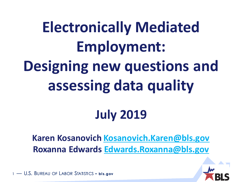**Electronically Mediated Employment: Designing new questions and assessing data quality**

#### **July 2019**

**Karen Kosanovich [Kosanovich.Karen@bls.gov](mailto:Kosanovich.Karen@bls.gov) Roxanna Edwards [Edwards.Roxanna@bls.gov](mailto:Edwards.Roxanna@bls.gov)**

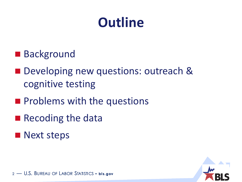#### **Outline**

- Background
- Developing new questions: outreach & cognitive testing
- **Problems with the questions**
- Recoding the data
- **Next steps**

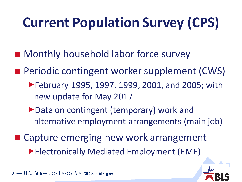# **Current Population Survey (CPS)**

- Monthly household labor force survey
- **Periodic contingent worker supplement (CWS)** 
	- ▶ February 1995, 1997, 1999, 2001, and 2005; with new update for May 2017
	- ▶ Data on contingent (temporary) work and alternative employment arrangements (main job)
- Capture emerging new work arrangement Electronically Mediated Employment (EME)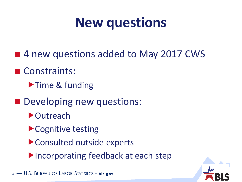#### **New questions**

- 4 new questions added to May 2017 CWS
- Constraints:
	- Time & funding
- Developing new questions:
	- ▶ Outreach
	- ▶ Cognitive testing
	- Consulted outside experts
	- Incorporating feedback at each step

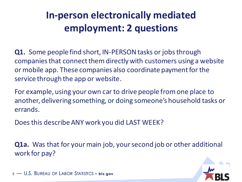#### **In-person electronically mediated employment: 2 questions**

**Q1.** Some people find short, IN-PERSON tasks or jobs through companies that connect them directly with customers using a website or mobile app. These companies also coordinate payment for the service through the app or website.

For example, using your own car to drive people from one place to another, delivering something, or doing someone's household tasks or errands.

Does this describe ANY work you did LAST WEEK?

**Q1a.** Was that for your main job, your second job or other additional work for pay?

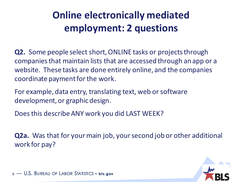#### **Online electronically mediated employment: 2 questions**

**Q2.** Some people select short, ONLINE tasks or projects through companies that maintain lists that are accessed through an app or a website. These tasks are done entirely online, and the companies coordinate payment for the work.

For example, data entry, translating text, web or software development, or graphic design.

Does this describe ANY work you did LAST WEEK?

**Q2a.** Was that for your main job, your second job or other additional work for pay?

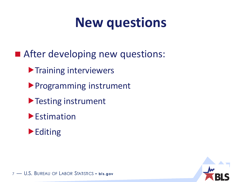#### **New questions**

- **After developing new questions:** 
	- **Training interviewers**
	- Programming instrument
	- ▶ Testing instrument
	- **Estimation**



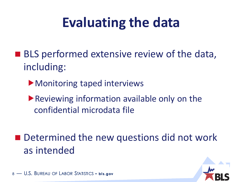## **Evaluating the data**

- **BLS** performed extensive review of the data, including:
	- Monitoring taped interviews
	- Reviewing information available only on the confidential microdata file
- Determined the new questions did not work as intended

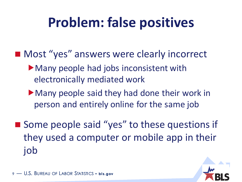### **Problem: false positives**

- Most "yes" answers were clearly incorrect
	- Many people had jobs inconsistent with electronically mediated work
	- Many people said they had done their work in person and entirely online for the same job
- Some people said "yes" to these questions if they used a computer or mobile app in their job

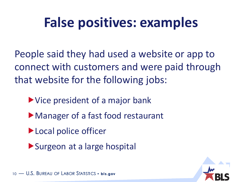#### **False positives: examples**

People said they had used a website or app to connect with customers and were paid through that website for the following jobs:

- Vice president of a major bank
- Manager of a fast food restaurant
- ▶ Local police officer
- Surgeon at a large hospital

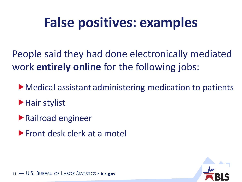#### **False positives: examples**

People said they had done electronically mediated work **entirely online** for the following jobs:

Medical assistant administering medication to patients

**Hair stylist** 

Railroad engineer

**Front desk clerk at a motel** 

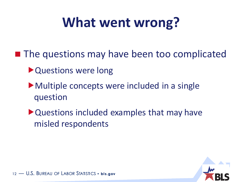### **What went wrong?**

■ The questions may have been too complicated

- ▶ Questions were long
- Multiple concepts were included in a single question
- Questions included examples that may have misled respondents

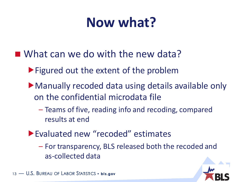#### **Now what?**

- What can we do with the new data?
	- ▶ Figured out the extent of the problem
	- Manually recoded data using details available only on the confidential microdata file
		- Teams of five, reading info and recoding, compared results at end
	- Evaluated new "recoded" estimates
		- For transparency, BLS released both the recoded and as-collected data

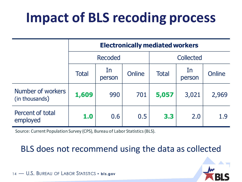## **Impact of BLS recoding process**

|                                     | <b>Electronically mediated workers</b> |               |        |              |              |        |
|-------------------------------------|----------------------------------------|---------------|--------|--------------|--------------|--------|
|                                     | <b>Recoded</b>                         |               |        | Collected    |              |        |
|                                     | <b>Total</b>                           | In.<br>person | Online | <b>Total</b> | In<br>person | Online |
| Number of workers<br>(in thousands) | 1,609                                  | 990           | 701    | 5,057        | 3,021        | 2,969  |
| Percent of total<br>employed        | 1.0                                    | 0.6           | 0.5    | 3.3          | 2.0          | 1.9    |

Source: Current Population Survey (CPS), Bureau of Labor Statistics (BLS).

#### BLS does not recommend using the data as collected

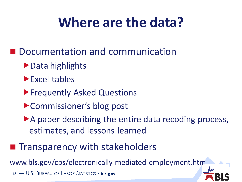### **Where are the data?**

- **Documentation and communication** 
	- ▶ Data highlights
	- Excel tables
	- **Frequently Asked Questions**
	- ▶ Commissioner's blog post
	- A paper describing the entire data recoding process, estimates, and lessons learned
- **Theoreta Transparency with stakeholders**

www.bls.gov/cps/electronically-mediated-employment.htm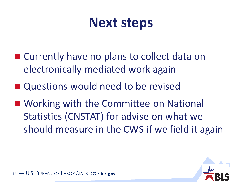#### **Next steps**

- Currently have no plans to collect data on electronically mediated work again
- Questions would need to be revised
- Working with the Committee on National Statistics (CNSTAT) for advise on what we should measure in the CWS if we field it again